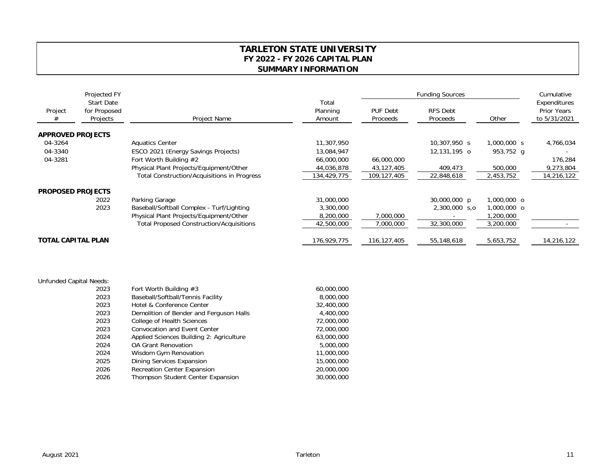## **TARLETON STATE UNIVERSITY FY 2022 - FY 2026 CAPITAL PLAN SUMMARY INFORMATION**

|                          | Projected FY<br><b>Start Date</b><br>for Proposed<br>Projects | Project Name                                       |                             | <b>Funding Sources</b>      |                             |             | Cumulative                                         |
|--------------------------|---------------------------------------------------------------|----------------------------------------------------|-----------------------------|-----------------------------|-----------------------------|-------------|----------------------------------------------------|
| Project<br>#             |                                                               |                                                    | Total<br>Planning<br>Amount | <b>PUF Debt</b><br>Proceeds | <b>RFS Debt</b><br>Proceeds | Other       | Expenditures<br><b>Prior Years</b><br>to 5/31/2021 |
| <b>APPROVED PROJECTS</b> |                                                               |                                                    |                             |                             |                             |             |                                                    |
| 04-3264                  |                                                               | <b>Aquatics Center</b>                             | 11,307,950                  |                             | 10,307,950 s                | 1,000,000 s | 4,766,034                                          |
| 04-3340                  |                                                               | ESCO 2021 (Energy Savings Projects)                | 13,084,947                  |                             | 12,131,195 o                | 953,752 g   |                                                    |
| 04-3281                  |                                                               | Fort Worth Building #2                             | 66,000,000                  | 66,000,000                  |                             |             | 176,284                                            |
|                          |                                                               | Physical Plant Projects/Equipment/Other            | 44,036,878                  | 43,127,405                  | 409,473                     | 500,000     | 9,273,804                                          |
|                          |                                                               | <b>Total Construction/Acquisitions in Progress</b> | 134,429,775                 | 109,127,405                 | 22,848,618                  | 2,453,752   | 14,216,122                                         |
| <b>PROPOSED PROJECTS</b> |                                                               |                                                    |                             |                             |                             |             |                                                    |
|                          | 2022                                                          | Parking Garage                                     | 31,000,000                  |                             | 30,000,000 p                | 1,000,000 o |                                                    |
|                          | 2023                                                          | Baseball/Softball Complex - Turf/Lighting          | 3,300,000                   |                             | 2,300,000 s.o               | 1,000,000 o |                                                    |
|                          |                                                               | Physical Plant Projects/Equipment/Other            | 8,200,000                   | 7,000,000                   |                             | 1,200,000   |                                                    |
|                          |                                                               | <b>Total Proposed Construction/Acquisitions</b>    | 42,500,000                  | 7,000,000                   | 32,300,000                  | 3,200,000   |                                                    |
| TOTAL CAPITAL PLAN       |                                                               |                                                    | 176,929,775                 | 116, 127, 405               | 55,148,618                  | 5,653,752   | 14,216,122                                         |

| Capital Needs: |                                          |            |
|----------------|------------------------------------------|------------|
| 2023           | Fort Worth Building $#3$                 | 60,000,000 |
| 2023           | Baseball/Softball/Tennis Facility        | 8,000,000  |
| 2023           | Hotel & Conference Center                | 32,400,000 |
| 2023           | Demolition of Bender and Ferguson Halls  | 4,400,000  |
| 2023           | College of Health Sciences               | 72,000,000 |
| 2023           | Convocation and Event Center             | 72,000,000 |
| 2024           | Applied Sciences Building 2: Agriculture | 63,000,000 |
| 2024           | <b>OA Grant Renovation</b>               | 5,000,000  |
| 2024           | Wisdom Gym Renovation                    | 11,000,000 |
| 2025           | <b>Dining Services Expansion</b>         | 15,000,000 |
| 2026           | <b>Recreation Center Expansion</b>       | 20,000,000 |
| 2026           | Thompson Student Center Expansion        | 30,000,000 |

Unfunded